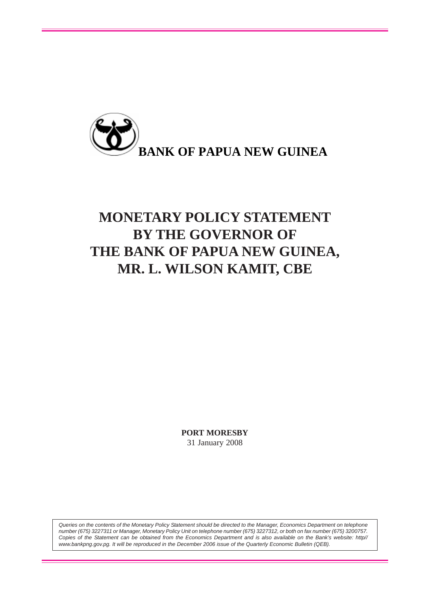

# **MONETARY POLICY STATEMENT BY THE GOVERNOR OF THE BANK OF PAPUA NEW GUINEA, MR. L. WILSON KAMIT, CBE**

**PORT MORESBY** 31 January 2008

*Queries on the contents of the Monetary Policy Statement should be directed to the Manager, Economics Department on telephone number (675) 3227311 or Manager, Monetary Policy Unit on telephone number (675) 3227312, or both on fax number (675) 3200757. Copies of the Statement can be obtained from the Economics Department and is also available on the Bank's website: http// www.bankpng.gov.pg. It will be reproduced in the December 2006 issue of the Quarterly Economic Bulletin (QEB).*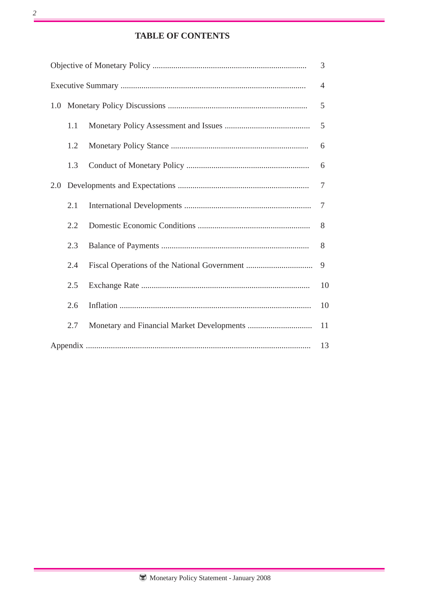# **TABLE OF CONTENTS**

|     |     |  | 3                                                                            |  |  |  |  |
|-----|-----|--|------------------------------------------------------------------------------|--|--|--|--|
|     |     |  | $\overline{4}$                                                               |  |  |  |  |
|     |     |  |                                                                              |  |  |  |  |
|     | 1.1 |  | 5                                                                            |  |  |  |  |
|     | 1.2 |  | 6                                                                            |  |  |  |  |
|     | 1.3 |  | 6                                                                            |  |  |  |  |
| 2.0 |     |  | 5<br>$\overline{7}$<br>$\overline{7}$<br>8<br>8<br>9<br>10<br>10<br>11<br>13 |  |  |  |  |
|     | 2.1 |  |                                                                              |  |  |  |  |
|     | 2.2 |  |                                                                              |  |  |  |  |
|     | 2.3 |  |                                                                              |  |  |  |  |
|     | 2.4 |  |                                                                              |  |  |  |  |
|     | 2.5 |  |                                                                              |  |  |  |  |
|     | 2.6 |  |                                                                              |  |  |  |  |
|     | 2.7 |  |                                                                              |  |  |  |  |
|     |     |  |                                                                              |  |  |  |  |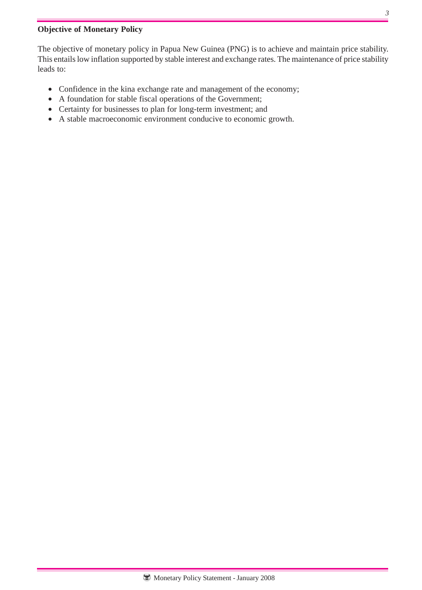# **Objective of Monetary Policy**

The objective of monetary policy in Papua New Guinea (PNG) is to achieve and maintain price stability. This entails low inflation supported by stable interest and exchange rates. The maintenance of price stability leads to:

- Confidence in the kina exchange rate and management of the economy;
- A foundation for stable fiscal operations of the Government;
- Certainty for businesses to plan for long-term investment; and
- A stable macroeconomic environment conducive to economic growth.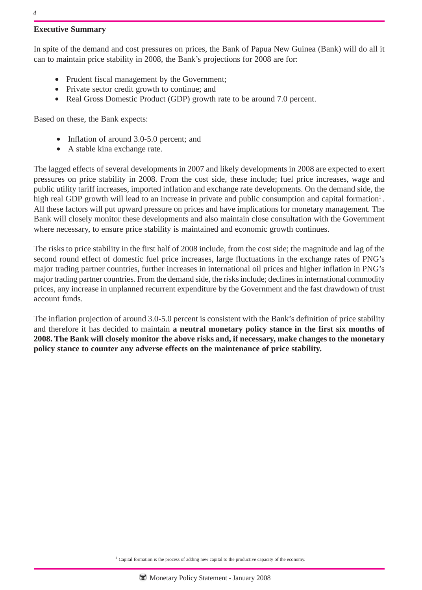## **Executive Summary**

In spite of the demand and cost pressures on prices, the Bank of Papua New Guinea (Bank) will do all it can to maintain price stability in 2008, the Bank's projections for 2008 are for:

- Prudent fiscal management by the Government;
- Private sector credit growth to continue; and
- Real Gross Domestic Product (GDP) growth rate to be around 7.0 percent.

Based on these, the Bank expects:

- Inflation of around 3.0-5.0 percent; and
- A stable kina exchange rate.

The lagged effects of several developments in 2007 and likely developments in 2008 are expected to exert pressures on price stability in 2008. From the cost side, these include; fuel price increases, wage and public utility tariff increases, imported inflation and exchange rate developments. On the demand side, the high real GDP growth will lead to an increase in private and public consumption and capital formation<sup>1</sup>. All these factors will put upward pressure on prices and have implications for monetary management. The Bank will closely monitor these developments and also maintain close consultation with the Government where necessary, to ensure price stability is maintained and economic growth continues.

The risks to price stability in the first half of 2008 include, from the cost side; the magnitude and lag of the second round effect of domestic fuel price increases, large fluctuations in the exchange rates of PNG's major trading partner countries, further increases in international oil prices and higher inflation in PNG's major trading partner countries. From the demand side, the risks include; declines in international commodity prices, any increase in unplanned recurrent expenditure by the Government and the fast drawdown of trust account funds.

The inflation projection of around 3.0-5.0 percent is consistent with the Bank's definition of price stability and therefore it has decided to maintain **a neutral monetary policy stance in the first six months of 2008. The Bank will closely monitor the above risks and, if necessary, make changes to the monetary policy stance to counter any adverse effects on the maintenance of price stability.**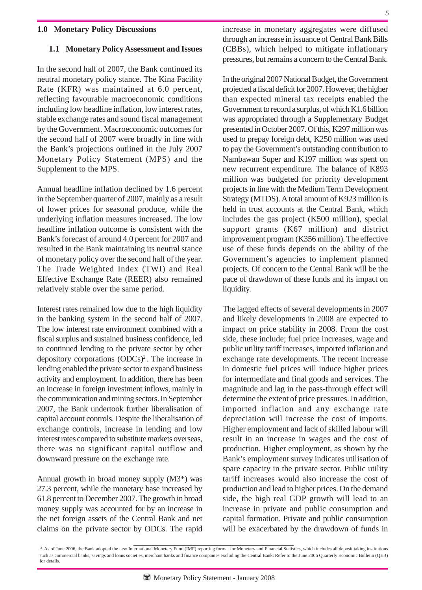#### **1.0 Monetary Policy Discussions**

#### **1.1 Monetary Policy Assessment and Issues**

In the second half of 2007, the Bank continued its neutral monetary policy stance. The Kina Facility Rate (KFR) was maintained at 6.0 percent, reflecting favourable macroeconomic conditions including low headline inflation, low interest rates, stable exchange rates and sound fiscal management by the Government. Macroeconomic outcomes for the second half of 2007 were broadly in line with the Bank's projections outlined in the July 2007 Monetary Policy Statement (MPS) and the Supplement to the MPS.

Annual headline inflation declined by 1.6 percent in the September quarter of 2007, mainly as a result of lower prices for seasonal produce, while the underlying inflation measures increased. The low headline inflation outcome is consistent with the Bank's forecast of around 4.0 percent for 2007 and resulted in the Bank maintaining its neutral stance of monetary policy over the second half of the year. The Trade Weighted Index (TWI) and Real Effective Exchange Rate (REER) also remained relatively stable over the same period.

Interest rates remained low due to the high liquidity in the banking system in the second half of 2007. The low interest rate environment combined with a fiscal surplus and sustained business confidence, led to continued lending to the private sector by other depository corporations  $(ODCs)^2$ . The increase in lending enabled the private sector to expand business activity and employment. In addition, there has been an increase in foreign investment inflows, mainly in the communication and mining sectors. In September 2007, the Bank undertook further liberalisation of capital account controls. Despite the liberalisation of exchange controls, increase in lending and low interest rates compared to substitute markets overseas, there was no significant capital outflow and downward pressure on the exchange rate.

Annual growth in broad money supply (M3\*) was 27.3 percent, while the monetary base increased by 61.8 percent to December 2007. The growth in broad money supply was accounted for by an increase in the net foreign assets of the Central Bank and net claims on the private sector by ODCs. The rapid

increase in monetary aggregates were diffused through an increase in issuance of Central Bank Bills (CBBs), which helped to mitigate inflationary pressures, but remains a concern to the Central Bank.

In the original 2007 National Budget, the Government projected a fiscal deficit for 2007. However, the higher than expected mineral tax receipts enabled the Government to record a surplus, of which K1.6 billion was appropriated through a Supplementary Budget presented in October 2007. Of this, K297 million was used to prepay foreign debt, K250 million was used to pay the Government's outstanding contribution to Nambawan Super and K197 million was spent on new recurrent expenditure. The balance of K893 million was budgeted for priority development projects in line with the Medium Term Development Strategy (MTDS). A total amount of K923 million is held in trust accounts at the Central Bank, which includes the gas project (K500 million), special support grants (K67 million) and district improvement program (K356 million). The effective use of these funds depends on the ability of the Government's agencies to implement planned projects. Of concern to the Central Bank will be the pace of drawdown of these funds and its impact on liquidity.

The lagged effects of several developments in 2007 and likely developments in 2008 are expected to impact on price stability in 2008. From the cost side, these include; fuel price increases, wage and public utility tariff increases, imported inflation and exchange rate developments. The recent increase in domestic fuel prices will induce higher prices for intermediate and final goods and services. The magnitude and lag in the pass-through effect will determine the extent of price pressures. In addition, imported inflation and any exchange rate depreciation will increase the cost of imports. Higher employment and lack of skilled labour will result in an increase in wages and the cost of production. Higher employment, as shown by the Bank's employment survey indicates utilisation of spare capacity in the private sector. Public utility tariff increases would also increase the cost of production and lead to higher prices. On the demand side, the high real GDP growth will lead to an increase in private and public consumption and capital formation. Private and public consumption will be exacerbated by the drawdown of funds in

<sup>&</sup>lt;sup>2</sup> As of June 2006, the Bank adopted the new International Monetary Fund (IMF) reporting format for Monetary and Financial Statistics, which includes all deposit taking institutions such as commercial banks, savings and loans societies, merchant banks and finance companies excluding the Central Bank. Refer to the June 2006 Quarterly Economic Bulletin (QEB) for details.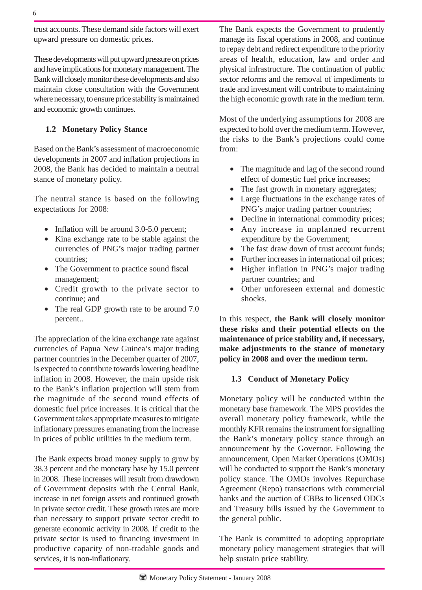trust accounts. These demand side factors will exert upward pressure on domestic prices.

These developments will put upward pressure on prices and have implications for monetary management. The Bank will closely monitor these developments and also maintain close consultation with the Government where necessary, to ensure price stability is maintained and economic growth continues.

## **1.2 Monetary Policy Stance**

Based on the Bank's assessment of macroeconomic developments in 2007 and inflation projections in 2008, the Bank has decided to maintain a neutral stance of monetary policy.

The neutral stance is based on the following expectations for 2008:

- Inflation will be around 3.0-5.0 percent;
- Kina exchange rate to be stable against the currencies of PNG's major trading partner countries;
- The Government to practice sound fiscal management;
- Credit growth to the private sector to continue; and
- The real GDP growth rate to be around 7.0 percent..

The appreciation of the kina exchange rate against currencies of Papua New Guinea's major trading partner countries in the December quarter of 2007, is expected to contribute towards lowering headline inflation in 2008. However, the main upside risk to the Bank's inflation projection will stem from the magnitude of the second round effects of domestic fuel price increases. It is critical that the Government takes appropriate measures to mitigate inflationary pressures emanating from the increase in prices of public utilities in the medium term.

The Bank expects broad money supply to grow by 38.3 percent and the monetary base by 15.0 percent in 2008. These increases will result from drawdown of Government deposits with the Central Bank, increase in net foreign assets and continued growth in private sector credit. These growth rates are more than necessary to support private sector credit to generate economic activity in 2008. If credit to the private sector is used to financing investment in productive capacity of non-tradable goods and services, it is non-inflationary.

The Bank expects the Government to prudently manage its fiscal operations in 2008, and continue to repay debt and redirect expenditure to the priority areas of health, education, law and order and physical infrastructure. The continuation of public sector reforms and the removal of impediments to trade and investment will contribute to maintaining the high economic growth rate in the medium term.

Most of the underlying assumptions for 2008 are expected to hold over the medium term. However, the risks to the Bank's projections could come from:

- The magnitude and lag of the second round effect of domestic fuel price increases;
- The fast growth in monetary aggregates;
- Large fluctuations in the exchange rates of PNG's major trading partner countries;
- Decline in international commodity prices;
- Any increase in unplanned recurrent expenditure by the Government;
- The fast draw down of trust account funds:
- Further increases in international oil prices;
- Higher inflation in PNG's major trading partner countries; and
- Other unforeseen external and domestic shocks.

In this respect, **the Bank will closely monitor these risks and their potential effects on the maintenance of price stability and, if necessary, make adjustments to the stance of monetary policy in 2008 and over the medium term.**

## **1.3 Conduct of Monetary Policy**

Monetary policy will be conducted within the monetary base framework. The MPS provides the overall monetary policy framework, while the monthly KFR remains the instrument for signalling the Bank's monetary policy stance through an announcement by the Governor. Following the announcement, Open Market Operations (OMOs) will be conducted to support the Bank's monetary policy stance. The OMOs involves Repurchase Agreement (Repo) transactions with commercial banks and the auction of CBBs to licensed ODCs and Treasury bills issued by the Government to the general public.

The Bank is committed to adopting appropriate monetary policy management strategies that will help sustain price stability.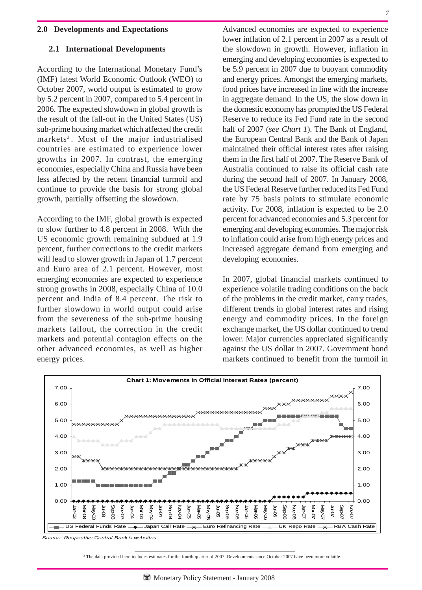#### **2.0 Developments and Expectations**

#### **2.1 International Developments**

According to the International Monetary Fund's (IMF) latest World Economic Outlook (WEO) to October 2007, world output is estimated to grow by 5.2 percent in 2007, compared to 5.4 percent in 2006. The expected slowdown in global growth is the result of the fall-out in the United States (US) sub-prime housing market which affected the credit markets<sup>3</sup>. Most of the major industrialised countries are estimated to experience lower growths in 2007. In contrast, the emerging economies, especially China and Russia have been less affected by the recent financial turmoil and continue to provide the basis for strong global growth, partially offsetting the slowdown.

According to the IMF, global growth is expected to slow further to 4.8 percent in 2008. With the US economic growth remaining subdued at 1.9 percent, further corrections to the credit markets will lead to slower growth in Japan of 1.7 percent and Euro area of 2.1 percent. However, most emerging economies are expected to experience strong growths in 2008, especially China of 10.0 percent and India of 8.4 percent. The risk to further slowdown in world output could arise from the severeness of the sub-prime housing markets fallout, the correction in the credit markets and potential contagion effects on the other advanced economies, as well as higher energy prices.

Advanced economies are expected to experience lower inflation of 2.1 percent in 2007 as a result of the slowdown in growth. However, inflation in emerging and developing economies is expected to be 5.9 percent in 2007 due to buoyant commodity and energy prices. Amongst the emerging markets, food prices have increased in line with the increase in aggregate demand. In the US, the slow down in the domestic economy has prompted the US Federal Reserve to reduce its Fed Fund rate in the second half of 2007 (*see Chart 1*). The Bank of England, the European Central Bank and the Bank of Japan maintained their official interest rates after raising them in the first half of 2007. The Reserve Bank of Australia continued to raise its official cash rate during the second half of 2007. In January 2008, the US Federal Reserve further reduced its Fed Fund rate by 75 basis points to stimulate economic activity. For 2008, inflation is expected to be 2.0 percent for advanced economies and 5.3 percent for emerging and developing economies. The major risk to inflation could arise from high energy prices and increased aggregate demand from emerging and developing economies.

In 2007, global financial markets continued to experience volatile trading conditions on the back of the problems in the credit market, carry trades, different trends in global interest rates and rising energy and commodity prices. In the foreign exchange market, the US dollar continued to trend lower. Major currencies appreciated significantly against the US dollar in 2007. Government bond markets continued to benefit from the turmoil in



*Source: Respective Central Bank's websites*

<sup>3</sup> The data provided here includes estimates for the fourth quarter of 2007. Developments since October 2007 have been more volatile.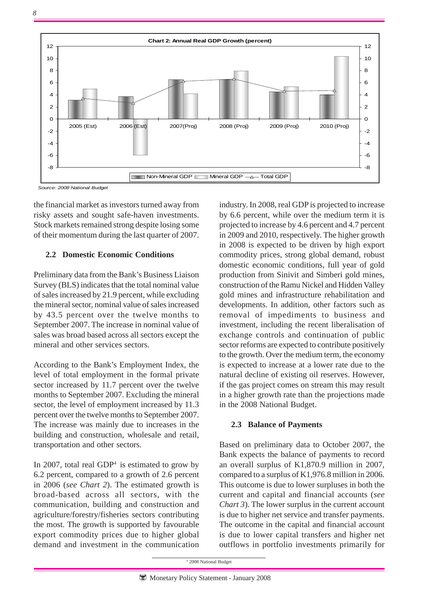*8*



*Source: 2008 National Budget*

the financial market as investors turned away from risky assets and sought safe-haven investments. Stock markets remained strong despite losing some of their momentum during the last quarter of 2007.

#### **2.2 Domestic Economic Conditions**

Preliminary data from the Bank's Business Liaison Survey (BLS) indicates that the total nominal value of sales increased by 21.9 percent, while excluding the mineral sector, nominal value of sales increased by 43.5 percent over the twelve months to September 2007. The increase in nominal value of sales was broad based across all sectors except the mineral and other services sectors.

According to the Bank's Employment Index, the level of total employment in the formal private sector increased by 11.7 percent over the twelve months to September 2007. Excluding the mineral sector, the level of employment increased by 11.3 percent over the twelve months to September 2007. The increase was mainly due to increases in the building and construction, wholesale and retail, transportation and other sectors.

In 2007, total real GDP<sup>4</sup> is estimated to grow by 6.2 percent, compared to a growth of 2.6 percent in 2006 (*see Chart 2*). The estimated growth is broad-based across all sectors, with the communication, building and construction and agriculture/forestry/fisheries sectors contributing the most. The growth is supported by favourable export commodity prices due to higher global demand and investment in the communication industry. In 2008, real GDP is projected to increase by 6.6 percent, while over the medium term it is projected to increase by 4.6 percent and 4.7 percent in 2009 and 2010, respectively. The higher growth in 2008 is expected to be driven by high export commodity prices, strong global demand, robust domestic economic conditions, full year of gold production from Sinivit and Simberi gold mines, construction of the Ramu Nickel and Hidden Valley gold mines and infrastructure rehabilitation and developments. In addition, other factors such as removal of impediments to business and investment, including the recent liberalisation of exchange controls and continuation of public sector reforms are expected to contribute positively to the growth. Over the medium term, the economy is expected to increase at a lower rate due to the natural decline of existing oil reserves. However, if the gas project comes on stream this may result in a higher growth rate than the projections made in the 2008 National Budget.

## **2.3 Balance of Payments**

Based on preliminary data to October 2007, the Bank expects the balance of payments to record an overall surplus of K1,870.9 million in 2007, compared to a surplus of K1,976.8 million in 2006. This outcome is due to lower surpluses in both the current and capital and financial accounts (*see Chart 3*). The lower surplus in the current account is due to higher net service and transfer payments. The outcome in the capital and financial account is due to lower capital transfers and higher net outflows in portfolio investments primarily for

4 2008 National Budget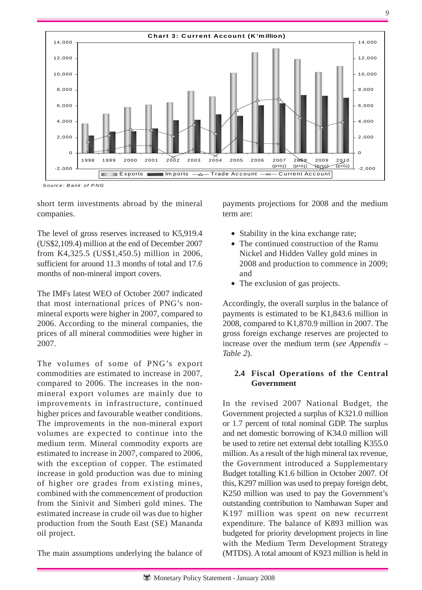

**C hart 3: C urrent Account (K 'million)**

The level of gross reserves increased to K5,919.4 (US\$2,109.4) million at the end of December 2007 from K4,325.5 (US\$1,450.5) million in 2006, sufficient for around 11.3 months of total and 17.6 months of non-mineral import covers.

2,000

4,000

6,000

8,000

10,000

12,000

14,000

The IMFs latest WEO of October 2007 indicated that most international prices of PNG's nonmineral exports were higher in 2007, compared to 2006. According to the mineral companies, the prices of all mineral commodities were higher in 2007.

The volumes of some of PNG's export commodities are estimated to increase in 2007, compared to 2006. The increases in the nonmineral export volumes are mainly due to improvements in infrastructure, continued higher prices and favourable weather conditions. The improvements in the non-mineral export volumes are expected to continue into the medium term. Mineral commodity exports are estimated to increase in 2007, compared to 2006, with the exception of copper. The estimated increase in gold production was due to mining of higher ore grades from existing mines, combined with the commencement of production from the Sinivit and Simberi gold mines. The estimated increase in crude oil was due to higher production from the South East (SE) Mananda oil project.

The main assumptions underlying the balance of

payments projections for 2008 and the medium term are:

 $2008$ (proj)

2009 (proj) 2010

 $\frac{(\text{proj})}{2,000}$ 

 $\Omega$ 

2,000

4,000

6,000

8,000

10,000

12,000

14,000

- Stability in the kina exchange rate;
- The continued construction of the Ramu Nickel and Hidden Valley gold mines in 2008 and production to commence in 2009; and
- The exclusion of gas projects.

Accordingly, the overall surplus in the balance of payments is estimated to be K1,843.6 million in 2008, compared to K1,870.9 million in 2007. The gross foreign exchange reserves are projected to increase over the medium term (*see Appendix – Table 2*).

## **2.4 Fiscal Operations of the Central Government**

In the revised 2007 National Budget, the Government projected a surplus of K321.0 million or 1.7 percent of total nominal GDP. The surplus and net domestic borrowing of K34.0 million will be used to retire net external debt totalling K355.0 million. As a result of the high mineral tax revenue, the Government introduced a Supplementary Budget totalling K1.6 billion in October 2007. Of this, K297 million was used to prepay foreign debt, K250 million was used to pay the Government's outstanding contribution to Nambawan Super and K197 million was spent on new recurrent expenditure. The balance of K893 million was budgeted for priority development projects in line with the Medium Term Development Strategy (MTDS). A total amount of K923 million is held in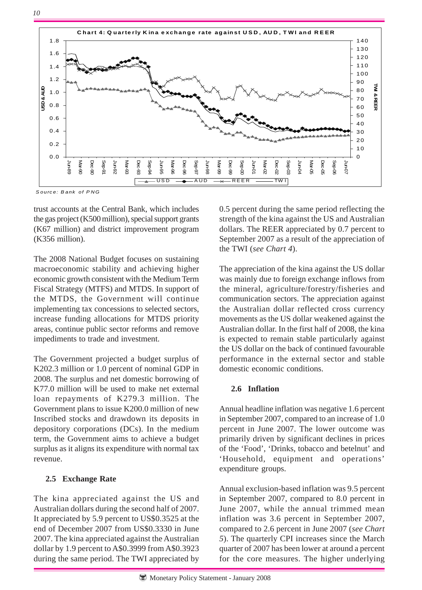

*S ource: B ank of P NG*

trust accounts at the Central Bank, which includes the gas project (K500 million), special support grants (K67 million) and district improvement program (K356 million).

The 2008 National Budget focuses on sustaining macroeconomic stability and achieving higher economic growth consistent with the Medium Term Fiscal Strategy (MTFS) and MTDS. In support of the MTDS, the Government will continue implementing tax concessions to selected sectors, increase funding allocations for MTDS priority areas, continue public sector reforms and remove impediments to trade and investment.

The Government projected a budget surplus of K202.3 million or 1.0 percent of nominal GDP in 2008. The surplus and net domestic borrowing of K77.0 million will be used to make net external loan repayments of K279.3 million. The Government plans to issue K200.0 million of new Inscribed stocks and drawdown its deposits in depository corporations (DCs). In the medium term, the Government aims to achieve a budget surplus as it aligns its expenditure with normal tax revenue.

## **2.5 Exchange Rate**

The kina appreciated against the US and Australian dollars during the second half of 2007. It appreciated by 5.9 percent to US\$0.3525 at the end of December 2007 from US\$0.3330 in June 2007. The kina appreciated against the Australian dollar by 1.9 percent to A\$0.3999 from A\$0.3923 during the same period. The TWI appreciated by 0.5 percent during the same period reflecting the strength of the kina against the US and Australian dollars. The REER appreciated by 0.7 percent to September 2007 as a result of the appreciation of the TWI (*see Chart 4*).

The appreciation of the kina against the US dollar was mainly due to foreign exchange inflows from the mineral, agriculture/forestry/fisheries and communication sectors. The appreciation against the Australian dollar reflected cross currency movements as the US dollar weakened against the Australian dollar. In the first half of 2008, the kina is expected to remain stable particularly against the US dollar on the back of continued favourable performance in the external sector and stable domestic economic conditions.

## **2.6 Inflation**

Annual headline inflation was negative 1.6 percent in September 2007, compared to an increase of 1.0 percent in June 2007. The lower outcome was primarily driven by significant declines in prices of the 'Food', 'Drinks, tobacco and betelnut' and 'Household, equipment and operations' expenditure groups.

Annual exclusion-based inflation was 9.5 percent in September 2007, compared to 8.0 percent in June 2007, while the annual trimmed mean inflation was 3.6 percent in September 2007, compared to 2.6 percent in June 2007 (*see Chart 5*). The quarterly CPI increases since the March quarter of 2007 has been lower at around a percent for the core measures. The higher underlying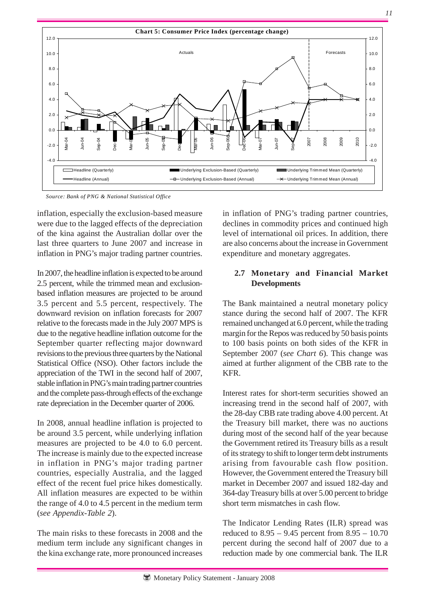

*Source: Bank of PNG & National Statistical Office* 

inflation, especially the exclusion-based measure were due to the lagged effects of the depreciation of the kina against the Australian dollar over the last three quarters to June 2007 and increase in inflation in PNG's major trading partner countries.

In 2007, the headline inflation is expected to be around 2.5 percent, while the trimmed mean and exclusionbased inflation measures are projected to be around 3.5 percent and 5.5 percent, respectively. The downward revision on inflation forecasts for 2007 relative to the forecasts made in the July 2007 MPS is due to the negative headline inflation outcome for the September quarter reflecting major downward revisions to the previous three quarters by the National Statistical Office (NSO). Other factors include the appreciation of the TWI in the second half of 2007, stable inflation in PNG's main trading partner countries and the complete pass-through effects of the exchange rate depreciation in the December quarter of 2006.

In 2008, annual headline inflation is projected to be around 3.5 percent, while underlying inflation measures are projected to be 4.0 to 6.0 percent. The increase is mainly due to the expected increase in inflation in PNG's major trading partner countries, especially Australia, and the lagged effect of the recent fuel price hikes domestically. All inflation measures are expected to be within the range of 4.0 to 4.5 percent in the medium term (*see Appendix-Table 2*).

The main risks to these forecasts in 2008 and the medium term include any significant changes in the kina exchange rate, more pronounced increases in inflation of PNG's trading partner countries, declines in commodity prices and continued high level of international oil prices. In addition, there are also concerns about the increase in Government expenditure and monetary aggregates.

#### **2.7 Monetary and Financial Market Developments**

The Bank maintained a neutral monetary policy stance during the second half of 2007. The KFR remained unchanged at 6.0 percent, while the trading margin for the Repos was reduced by 50 basis points to 100 basis points on both sides of the KFR in September 2007 (*see Chart 6*). This change was aimed at further alignment of the CBB rate to the KFR.

Interest rates for short-term securities showed an increasing trend in the second half of 2007, with the 28-day CBB rate trading above 4.00 percent. At the Treasury bill market, there was no auctions during most of the second half of the year because the Government retired its Treasury bills as a result of its strategy to shift to longer term debt instruments arising from favourable cash flow position. However, the Government entered the Treasury bill market in December 2007 and issued 182-day and 364-day Treasury bills at over 5.00 percent to bridge short term mismatches in cash flow.

The Indicator Lending Rates (ILR) spread was reduced to 8.95 – 9.45 percent from 8.95 – 10.70 percent during the second half of 2007 due to a reduction made by one commercial bank. The ILR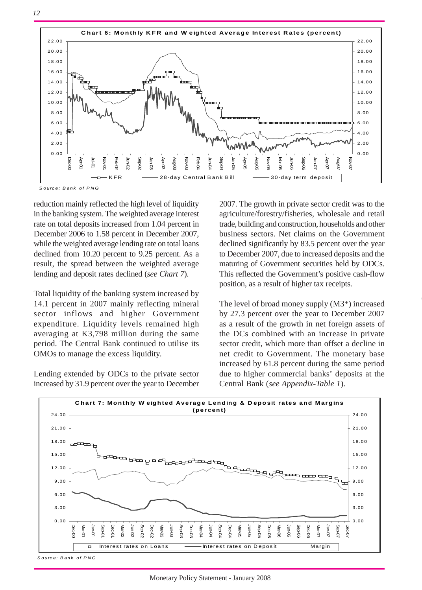



*S ource: B ank of P NG*

reduction mainly reflected the high level of liquidity in the banking system.The weighted average interest rate on total deposits increased from 1.04 percent in December 2006 to 1.58 percent in December 2007, while the weighted average lending rate on total loans declined from 10.20 percent to 9.25 percent. As a result, the spread between the weighted average lending and deposit rates declined (*see Chart 7*).

Total liquidity of the banking system increased by 14.1 percent in 2007 mainly reflecting mineral sector inflows and higher Government expenditure. Liquidity levels remained high averaging at K3,798 million during the same period. The Central Bank continued to utilise its OMOs to manage the excess liquidity.

Lending extended by ODCs to the private sector increased by 31.9 percent over the year to December

2007. The growth in private sector credit was to the agriculture/forestry/fisheries, wholesale and retail trade, building and construction, households and other business sectors. Net claims on the Government declined significantly by 83.5 percent over the year to December 2007, due to increased deposits and the maturing of Government securities held by ODCs. This reflected the Government's positive cash-flow position, as a result of higher tax receipts.

The level of broad money supply (M3\*) increased by 27.3 percent over the year to December 2007 as a result of the growth in net foreign assets of the DCs combined with an increase in private sector credit, which more than offset a decline in net credit to Government. The monetary base increased by 61.8 percent during the same period due to higher commercial banks' deposits at the Central Bank (*see Appendix-Table 1*).



*S ource: B ank of P NG*